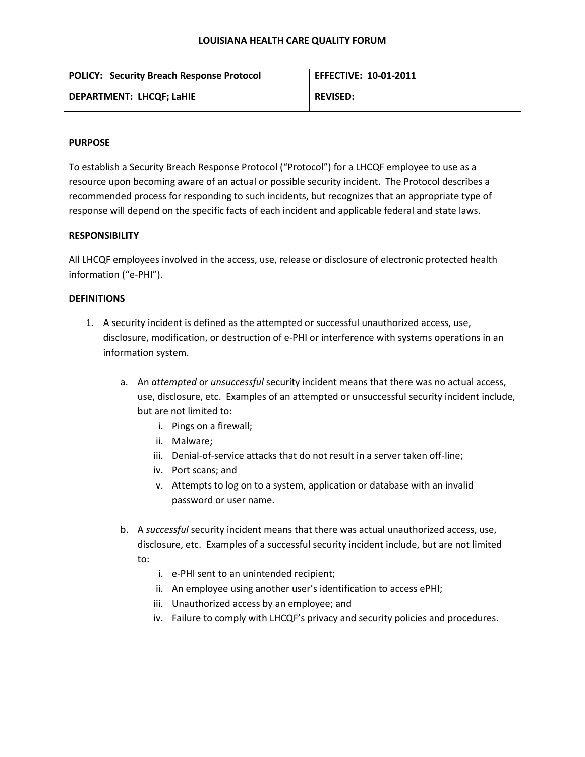#### **LOUISIANA HEALTH CARE QUALITY FORUM**

| <b>POLICY: Security Breach Response Protocol</b> | <b>EFFECTIVE: 10-01-2011</b> |
|--------------------------------------------------|------------------------------|
| <b>DEPARTMENT: LHCQF; LaHIE</b>                  | <b>REVISED:</b>              |

## **PURPOSE**

To establish a Security Breach Response Protocol ("Protocol") for a LHCQF employee to use as a resource upon becoming aware of an actual or possible security incident. The Protocol describes a recommended process for responding to such incidents, but recognizes that an appropriate type of response will depend on the specific facts of each incident and applicable federal and state laws.

# **RESPONSIBILITY**

All LHCQF employees involved in the access, use, release or disclosure of electronic protected health information ("e-PHI").

## **DEFINITIONS**

- 1. A security incident is defined as the attempted or successful unauthorized access, use, disclosure, modification, or destruction of e-PHI or interference with systems operations in an information system.
	- a. An *attempted* or *unsuccessful* security incident means that there was no actual access, use, disclosure, etc. Examples of an attempted or unsuccessful security incident include, but are not limited to:
		- i. Pings on a firewall;
		- ii. Malware;
		- iii. Denial-of-service attacks that do not result in a server taken off-line;
		- iv. Port scans; and
		- v. Attempts to log on to a system, application or database with an invalid password or user name.
	- b. A *successful* security incident means that there was actual unauthorized access, use, disclosure, etc. Examples of a successful security incident include, but are not limited to:
		- i. e-PHI sent to an unintended recipient;
		- ii. An employee using another user's identification to access ePHI;
		- iii. Unauthorized access by an employee; and
		- iv. Failure to comply with LHCQF's privacy and security policies and procedures.